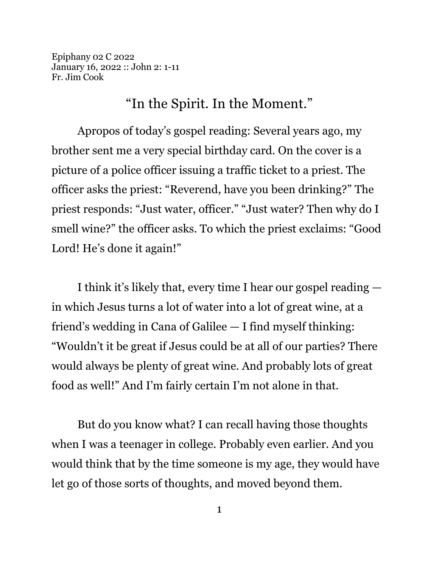Epiphany 02 C 2022 January 16, 2022 :: John 2: 1-11 Fr. Jim Cook

"In the Spirit. In the Moment."

Apropos of today's gospel reading: Several years ago, my brother sent me a very special birthday card. On the cover is a picture of a police officer issuing a traffic ticket to a priest. The officer asks the priest: "Reverend, have you been drinking?" The priest responds: "Just water, officer." "Just water? Then why do I smell wine?" the officer asks. To which the priest exclaims: "Good Lord! He's done it again!"

I think it's likely that, every time I hear our gospel reading in which Jesus turns a lot of water into a lot of great wine, at a friend's wedding in Cana of Galilee — I find myself thinking: "Wouldn't it be great if Jesus could be at all of our parties? There would always be plenty of great wine. And probably lots of great food as well!" And I'm fairly certain I'm not alone in that.

But do you know what? I can recall having those thoughts when I was a teenager in college. Probably even earlier. And you would think that by the time someone is my age, they would have let go of those sorts of thoughts, and moved beyond them.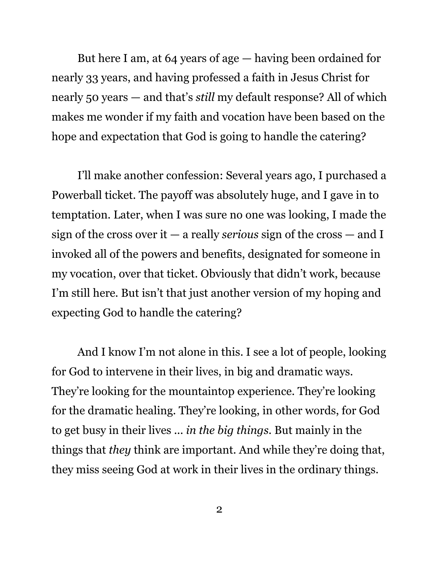But here I am, at 64 years of age — having been ordained for nearly 33 years, and having professed a faith in Jesus Christ for nearly 50 years — and that's *still* my default response? All of which makes me wonder if my faith and vocation have been based on the hope and expectation that God is going to handle the catering?

I'll make another confession: Several years ago, I purchased a Powerball ticket. The payoff was absolutely huge, and I gave in to temptation. Later, when I was sure no one was looking, I made the sign of the cross over it — a really *serious* sign of the cross — and I invoked all of the powers and benefits, designated for someone in my vocation, over that ticket. Obviously that didn't work, because I'm still here. But isn't that just another version of my hoping and expecting God to handle the catering?

And I know I'm not alone in this. I see a lot of people, looking for God to intervene in their lives, in big and dramatic ways. They're looking for the mountaintop experience. They're looking for the dramatic healing. They're looking, in other words, for God to get busy in their lives ... *in the big things*. But mainly in the things that *they* think are important. And while they're doing that, they miss seeing God at work in their lives in the ordinary things.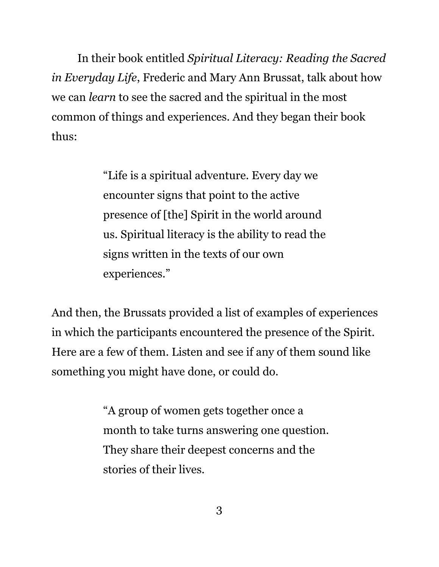In their book entitled *Spiritual Literacy: Reading the Sacred in Everyday Life*, Frederic and Mary Ann Brussat, talk about how we can *learn* to see the sacred and the spiritual in the most common of things and experiences. And they began their book thus:

> "Life is a spiritual adventure. Every day we encounter signs that point to the active presence of [the] Spirit in the world around us. Spiritual literacy is the ability to read the signs written in the texts of our own experiences."

And then, the Brussats provided a list of examples of experiences in which the participants encountered the presence of the Spirit. Here are a few of them. Listen and see if any of them sound like something you might have done, or could do.

> "A group of women gets together once a month to take turns answering one question. They share their deepest concerns and the stories of their lives.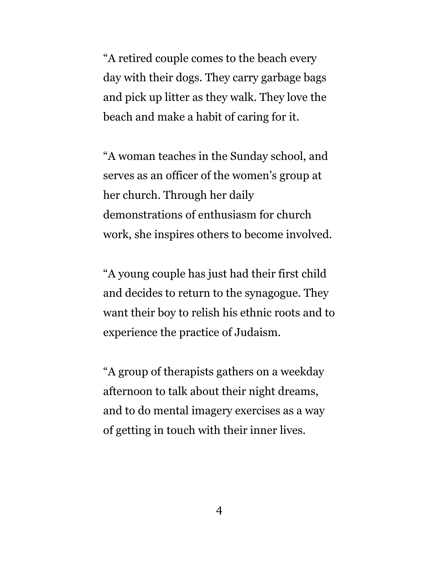"A retired couple comes to the beach every day with their dogs. They carry garbage bags and pick up litter as they walk. They love the beach and make a habit of caring for it.

"A woman teaches in the Sunday school, and serves as an officer of the women's group at her church. Through her daily demonstrations of enthusiasm for church work, she inspires others to become involved.

"A young couple has just had their first child and decides to return to the synagogue. They want their boy to relish his ethnic roots and to experience the practice of Judaism.

"A group of therapists gathers on a weekday afternoon to talk about their night dreams, and to do mental imagery exercises as a way of getting in touch with their inner lives.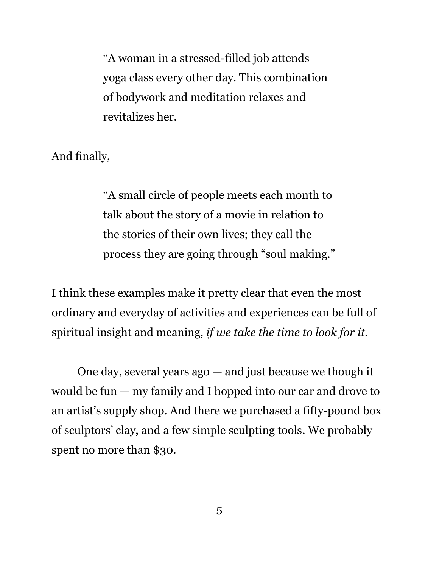"A woman in a stressed-filled job attends yoga class every other day. This combination of bodywork and meditation relaxes and revitalizes her.

And finally,

"A small circle of people meets each month to talk about the story of a movie in relation to the stories of their own lives; they call the process they are going through "soul making."

I think these examples make it pretty clear that even the most ordinary and everyday of activities and experiences can be full of spiritual insight and meaning, *if we take the time to look for it.*

One day, several years ago — and just because we though it would be fun — my family and I hopped into our car and drove to an artist's supply shop. And there we purchased a fifty-pound box of sculptors' clay, and a few simple sculpting tools. We probably spent no more than \$30.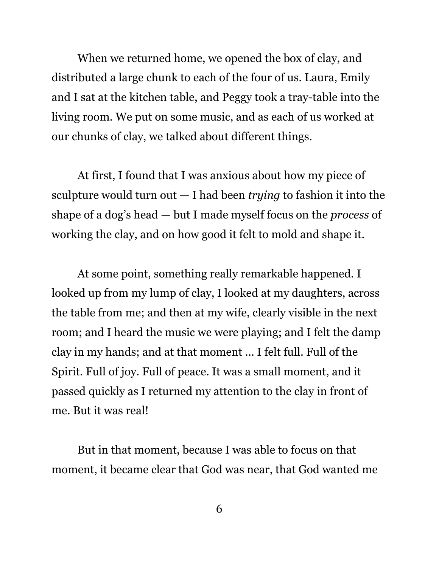When we returned home, we opened the box of clay, and distributed a large chunk to each of the four of us. Laura, Emily and I sat at the kitchen table, and Peggy took a tray-table into the living room. We put on some music, and as each of us worked at our chunks of clay, we talked about different things.

At first, I found that I was anxious about how my piece of sculpture would turn out — I had been *trying* to fashion it into the shape of a dog's head — but I made myself focus on the *process* of working the clay, and on how good it felt to mold and shape it.

At some point, something really remarkable happened. I looked up from my lump of clay, I looked at my daughters, across the table from me; and then at my wife, clearly visible in the next room; and I heard the music we were playing; and I felt the damp clay in my hands; and at that moment ... I felt full. Full of the Spirit. Full of joy. Full of peace. It was a small moment, and it passed quickly as I returned my attention to the clay in front of me. But it was real!

But in that moment, because I was able to focus on that moment, it became clear that God was near, that God wanted me